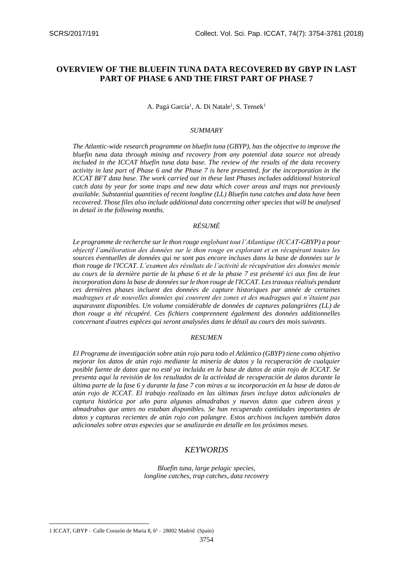# **OVERVIEW OF THE BLUEFIN TUNA DATA RECOVERED BY GBYP IN LAST PART OF PHASE 6 AND THE FIRST PART OF PHASE 7**

A. Pagá García<sup>1</sup>, A. Di Natale<sup>1</sup>, S. Tensek<sup>1</sup>

#### *SUMMARY*

*The Atlantic-wide research programme on bluefin tuna (GBYP), has the objective to improve the bluefin tuna data through mining and recovery from any potential data source not already included in the ICCAT bluefin tuna data base. The review of the results of the data recovery activity in last part of Phase 6 and the Phase 7 is here presented, for the incorporation in the ICCAT BFT data base. The work carried out in these last Phases includes additional historical catch data by year for some traps and new data which cover areas and traps not previously available. Substantial quantities of recent longline (LL) Bluefin tuna catches and data have been recovered. Those files also include additional data concerning other species that will be analysed in detail in the following months.*

# *RÉSUMÉ*

*Le programme de recherche sur le thon rouge englobant tout l'Atlantique (ICCAT-GBYP) a pour objectif l'amélioration des données sur le thon rouge en explorant et en récupérant toutes les sources éventuelles de données qui ne sont pas encore incluses dans la base de données sur le thon rouge de l'ICCAT. L'examen des résultats de l'activité de récupération des données menée au cours de la dernière partie de la phase 6 et de la phase 7 est présenté ici aux fins de leur incorporation dans la base de données sur le thon rouge de l'ICCAT. Les travaux réalisés pendant ces dernières phases incluent des données de capture historiques par année de certaines madragues et de nouvelles données qui couvrent des zones et des madragues qui n'étaient pas auparavant disponibles. Un volume considérable de données de captures palangrières (LL) de thon rouge a été récupéré. Ces fichiers comprennent également des données additionnelles concernant d'autres espèces qui seront analysées dans le détail au cours des mois suivants.*

#### *RESUMEN*

*El Programa de investigación sobre atún rojo para todo el Atlántico (GBYP) tiene como objetivo mejorar los datos de atún rojo mediante la minería de datos y la recuperación de cualquier posible fuente de datos que no esté ya incluida en la base de datos de atún rojo de ICCAT. Se presenta aquí la revisión de los resultados de la actividad de recuperación de datos durante la última parte de la fase 6 y durante la fase 7 con miras a su incorporación en la base de datos de atún rojo de ICCAT. El trabajo realizado en las últimas fases incluye datos adicionales de captura histórica por año para algunas almadrabas y nuevos datos que cubren áreas y almadrabas que antes no estaban disponibles. Se han recuperado cantidades importantes de datos y capturas recientes de atún rojo con palangre. Estos archivos incluyen también datos adicionales sobre otras especies que se analizarán en detalle en los próximos meses.*

# *KEYWORDS*

*Bluefin tuna, large pelagic species, longline catches, trap catches, data recovery*

**.** 

<sup>1</sup> ICCAT, GBYP – Calle Corazón de Maria 8, 6ª – 28002 Madrid (Spain)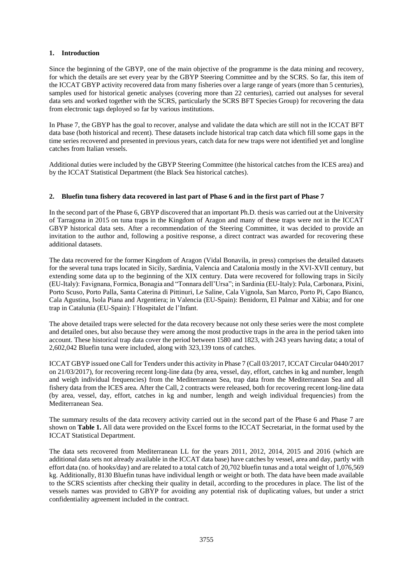## **1. Introduction**

Since the beginning of the GBYP, one of the main objective of the programme is the data mining and recovery, for which the details are set every year by the GBYP Steering Committee and by the SCRS. So far, this item of the ICCAT GBYP activity recovered data from many fisheries over a large range of years (more than 5 centuries), samples used for historical genetic analyses (covering more than 22 centuries), carried out analyses for several data sets and worked together with the SCRS, particularly the SCRS BFT Species Group) for recovering the data from electronic tags deployed so far by various institutions.

In Phase 7, the GBYP has the goal to recover, analyse and validate the data which are still not in the ICCAT BFT data base (both historical and recent). These datasets include historical trap catch data which fill some gaps in the time series recovered and presented in previous years, catch data for new traps were not identified yet and longline catches from Italian vessels.

Additional duties were included by the GBYP Steering Committee (the historical catches from the ICES area) and by the ICCAT Statistical Department (the Black Sea historical catches).

## **2. Bluefin tuna fishery data recovered in last part of Phase 6 and in the first part of Phase 7**

In the second part of the Phase 6, GBYP discovered that an important Ph.D. thesis was carried out at the University of Tarragona in 2015 on tuna traps in the Kingdom of Aragon and many of these traps were not in the ICCAT GBYP historical data sets. After a recommendation of the Steering Committee, it was decided to provide an invitation to the author and, following a positive response, a direct contract was awarded for recovering these additional datasets.

The data recovered for the former Kingdom of Aragon (Vidal Bonavila, in press) comprises the detailed datasets for the several tuna traps located in Sicily, Sardinia, Valencia and Catalonia mostly in the XVI-XVII century, but extending some data up to the beginning of the XIX century. Data were recovered for following traps in Sicily (EU-Italy): Favignana, Formica, Bonagia and "Tonnara dell'Ursa"; in Sardinia (EU-Italy): Pula, Carbonara, Pixini, Porto Scuso, Porto Palla, Santa Caterina di Pittinuri, Le Saline, Cala Vignola, San Marco, Porto Pi, Capo Bianco, Cala Agustina, Isola Piana and Argentiera; in Valencia (EU-Spain): Benidorm, El Palmar and Xàbia; and for one trap in Catalunia (EU-Spain): l`Hospitalet de l'Infant.

The above detailed traps were selected for the data recovery because not only these series were the most complete and detailed ones, but also because they were among the most productive traps in the area in the period taken into account. These historical trap data cover the period between 1580 and 1823, with 243 years having data; a total of 2,602,042 Bluefin tuna were included, along with 323,139 tons of catches.

ICCAT GBYP issued one Call for Tenders under this activity in Phase 7 (Call 03/2017, ICCAT Circular 0440/2017 on 21/03/2017), for recovering recent long-line data (by area, vessel, day, effort, catches in kg and number, length and weigh individual frequencies) from the Mediterranean Sea, trap data from the Mediterranean Sea and all fishery data from the ICES area. After the Call, 2 contracts were released, both for recovering recent long-line data (by area, vessel, day, effort, catches in kg and number, length and weigh individual frequencies) from the Mediterranean Sea.

The summary results of the data recovery activity carried out in the second part of the Phase 6 and Phase 7 are shown on **Table 1.** All data were provided on the Excel forms to the ICCAT Secretariat, in the format used by the ICCAT Statistical Department.

The data sets recovered from Mediterranean LL for the years 2011, 2012, 2014, 2015 and 2016 (which are additional data sets not already available in the ICCAT data base) have catches by vessel, area and day, partly with effort data (no. of hooks/day) and are related to a total catch of 20,702 bluefin tunas and a total weight of 1,076,569 kg. Additionally, 8130 Bluefin tunas have individual length or weight or both. The data have been made available to the SCRS scientists after checking their quality in detail, according to the procedures in place. The list of the vessels names was provided to GBYP for avoiding any potential risk of duplicating values, but under a strict confidentiality agreement included in the contract.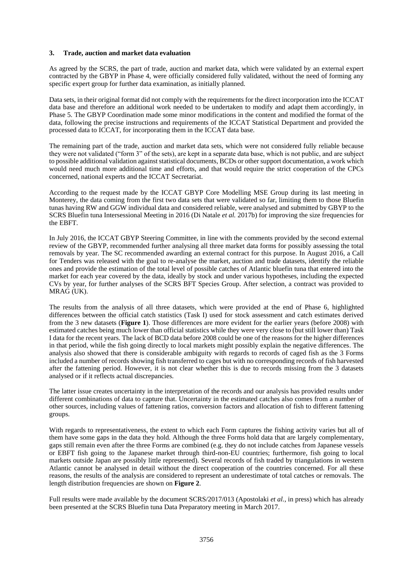#### **3. Trade, auction and market data evaluation**

As agreed by the SCRS, the part of trade, auction and market data, which were validated by an external expert contracted by the GBYP in Phase 4, were officially considered fully validated, without the need of forming any specific expert group for further data examination, as initially planned.

Data sets, in their original format did not comply with the requirements for the direct incorporation into the ICCAT data base and therefore an additional work needed to be undertaken to modify and adapt them accordingly, in Phase 5. The GBYP Coordination made some minor modifications in the content and modified the format of the data, following the precise instructions and requirements of the ICCAT Statistical Department and provided the processed data to ICCAT, for incorporating them in the ICCAT data base.

The remaining part of the trade, auction and market data sets, which were not considered fully reliable because they were not validated ("form 3" of the sets), are kept in a separate data base, which is not public, and are subject to possible additional validation against statistical documents, BCDs or other support documentation, a work which would need much more additional time and efforts, and that would require the strict cooperation of the CPCs concerned, national experts and the ICCAT Secretariat.

According to the request made by the ICCAT GBYP Core Modelling MSE Group during its last meeting in Monterey, the data coming from the first two data sets that were validated so far, limiting them to those Bluefin tunas having RW and GGW individual data and considered reliable, were analysed and submitted by GBYP to the SCRS Bluefin tuna Intersessional Meeting in 2016 (Di Natale *et al.* 2017b) for improving the size frequencies for the EBFT.

In July 2016, the ICCAT GBYP Steering Committee, in line with the comments provided by the second external review of the GBYP, recommended further analysing all three market data forms for possibly assessing the total removals by year. The SC recommended awarding an external contract for this purpose. In August 2016, a Call for Tenders was released with the goal to re-analyse the market, auction and trade datasets, identify the reliable ones and provide the estimation of the total level of possible catches of Atlantic bluefin tuna that entered into the market for each year covered by the data, ideally by stock and under various hypotheses, including the expected CVs by year, for further analyses of the SCRS BFT Species Group. After selection, a contract was provided to MRAG (UK).

The results from the analysis of all three datasets, which were provided at the end of Phase 6, highlighted differences between the official catch statistics (Task I) used for stock assessment and catch estimates derived from the 3 new datasets (**Figure 1**). Those differences are more evident for the earlier years (before 2008) with estimated catches being much lower than official statistics while they were very close to (but still lower than) Task I data for the recent years. The lack of BCD data before 2008 could be one of the reasons for the higher differences in that period, while the fish going directly to local markets might possibly explain the negative differences. The analysis also showed that there is considerable ambiguity with regards to records of caged fish as the 3 Forms included a number of records showing fish transferred to cages but with no corresponding records of fish harvested after the fattening period. However, it is not clear whether this is due to records missing from the 3 datasets analysed or if it reflects actual discrepancies.

The latter issue creates uncertainty in the interpretation of the records and our analysis has provided results under different combinations of data to capture that. Uncertainty in the estimated catches also comes from a number of other sources, including values of fattening ratios, conversion factors and allocation of fish to different fattening groups.

With regards to representativeness, the extent to which each Form captures the fishing activity varies but all of them have some gaps in the data they hold. Although the three Forms hold data that are largely complementary, gaps still remain even after the three Forms are combined (e.g. they do not include catches from Japanese vessels or EBFT fish going to the Japanese market through third-non-EU countries; furthermore, fish going to local markets outside Japan are possibly little represented). Several records of fish traded by triangulations in western Atlantic cannot be analysed in detail without the direct cooperation of the countries concerned. For all these reasons, the results of the analysis are considered to represent an underestimate of total catches or removals. The length distribution frequencies are shown on **Figure 2**.

Full results were made available by the document SCRS/2017/013 (Apostolaki *et al.*, in press) which has already been presented at the SCRS Bluefin tuna Data Preparatory meeting in March 2017.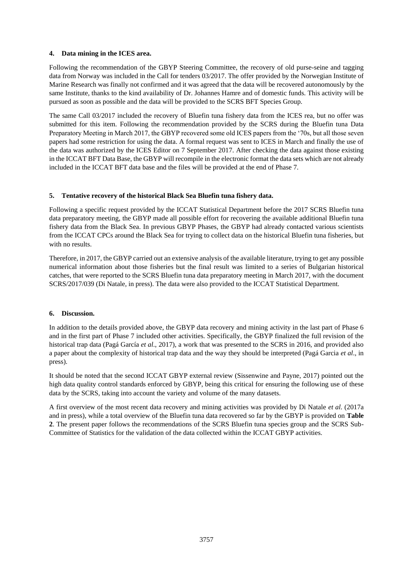### **4. Data mining in the ICES area.**

Following the recommendation of the GBYP Steering Committee, the recovery of old purse-seine and tagging data from Norway was included in the Call for tenders 03/2017. The offer provided by the Norwegian Institute of Marine Research was finally not confirmed and it was agreed that the data will be recovered autonomously by the same Institute, thanks to the kind availability of Dr. Johannes Hamre and of domestic funds. This activity will be pursued as soon as possible and the data will be provided to the SCRS BFT Species Group.

The same Call 03/2017 included the recovery of Bluefin tuna fishery data from the ICES rea, but no offer was submitted for this item. Following the recommendation provided by the SCRS during the Bluefin tuna Data Preparatory Meeting in March 2017, the GBYP recovered some old ICES papers from the '70s, but all those seven papers had some restriction for using the data. A formal request was sent to ICES in March and finally the use of the data was authorized by the ICES Editor on 7 September 2017. After checking the data against those existing in the ICCAT BFT Data Base, the GBYP will recompile in the electronic format the data sets which are not already included in the ICCAT BFT data base and the files will be provided at the end of Phase 7.

## **5. Tentative recovery of the historical Black Sea Bluefin tuna fishery data.**

Following a specific request provided by the ICCAT Statistical Department before the 2017 SCRS Bluefin tuna data preparatory meeting, the GBYP made all possible effort for recovering the available additional Bluefin tuna fishery data from the Black Sea. In previous GBYP Phases, the GBYP had already contacted various scientists from the ICCAT CPCs around the Black Sea for trying to collect data on the historical Bluefin tuna fisheries, but with no results.

Therefore, in 2017, the GBYP carried out an extensive analysis of the available literature, trying to get any possible numerical information about those fisheries but the final result was limited to a series of Bulgarian historical catches, that were reported to the SCRS Bluefin tuna data preparatory meeting in March 2017, with the document SCRS/2017/039 (Di Natale, in press). The data were also provided to the ICCAT Statistical Department.

#### **6. Discussion.**

In addition to the details provided above, the GBYP data recovery and mining activity in the last part of Phase 6 and in the first part of Phase 7 included other activities. Specifically, the GBYP finalized the full revision of the historical trap data (Pagá García *et al*., 2017), a work that was presented to the SCRS in 2016, and provided also a paper about the complexity of historical trap data and the way they should be interpreted (Pagá Garcia *et al*., in press).

It should be noted that the second ICCAT GBYP external review (Sissenwine and Payne, 2017) pointed out the high data quality control standards enforced by GBYP, being this critical for ensuring the following use of these data by the SCRS, taking into account the variety and volume of the many datasets.

A first overview of the most recent data recovery and mining activities was provided by Di Natale *et al*. (2017a and in press), while a total overview of the Bluefin tuna data recovered so far by the GBYP is provided on **Table 2**. The present paper follows the recommendations of the SCRS Bluefin tuna species group and the SCRS Sub-Committee of Statistics for the validation of the data collected within the ICCAT GBYP activities.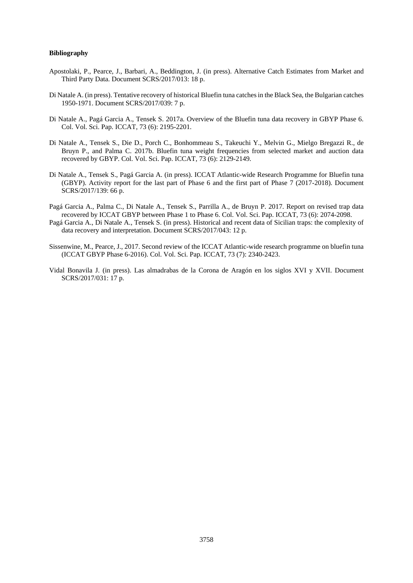#### **Bibliography**

- Apostolaki, P., Pearce, J., Barbari, A., Beddington, J. (in press). Alternative Catch Estimates from Market and Third Party Data. Document SCRS/2017/013: 18 p.
- Di Natale A. (in press). Tentative recovery of historical Bluefin tuna catches in the Black Sea, the Bulgarian catches 1950-1971. Document SCRS/2017/039: 7 p.
- Di Natale A., Pagá Garcia A., Tensek S. 2017a. Overview of the Bluefin tuna data recovery in GBYP Phase 6. Col. Vol. Sci. Pap. ICCAT, 73 (6): 2195-2201.
- Di Natale A., Tensek S., Die D., Porch C., Bonhommeau S., Takeuchi Y., Melvin G., Mielgo Bregazzi R., de Bruyn P., and Palma C. 2017b. Bluefin tuna weight frequencies from selected market and auction data recovered by GBYP. Col. Vol. Sci. Pap. ICCAT, 73 (6): 2129-2149.
- Di Natale A., Tensek S., Pagá Garcia A. (in press). ICCAT Atlantic-wide Research Programme for Bluefin tuna (GBYP). Activity report for the last part of Phase 6 and the first part of Phase 7 (2017-2018). Document SCRS/2017/139: 66 p.
- Pagá Garcia A., Palma C., Di Natale A., Tensek S., Parrilla A., de Bruyn P. 2017. Report on revised trap data recovered by ICCAT GBYP between Phase 1 to Phase 6. Col. Vol. Sci. Pap. ICCAT, 73 (6): 2074-2098.
- Pagá Garcia A., Di Natale A., Tensek S. (in press). Historical and recent data of Sicilian traps: the complexity of data recovery and interpretation. Document SCRS/2017/043: 12 p.
- Sissenwine, M., Pearce, J., 2017. Second review of the ICCAT Atlantic-wide research programme on bluefin tuna (ICCAT GBYP Phase 6-2016). Col. Vol. Sci. Pap. ICCAT, 73 (7): 2340-2423.
- Vidal Bonavila J. (in press). Las almadrabas de la Corona de Aragón en los siglos XVI y XVII. Document SCRS/2017/031: 17 p.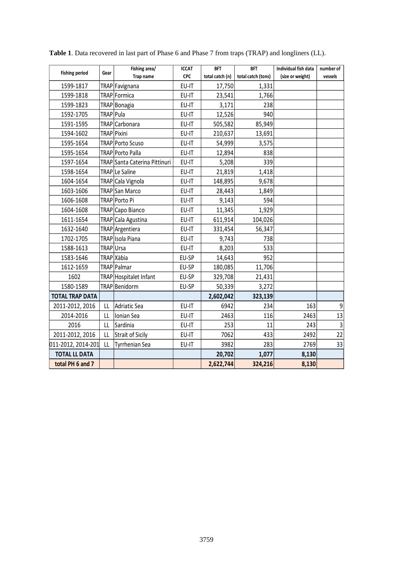| <b>Fishing period</b>  | Gear                   | Fishing area/                 | <b>ICCAT</b> | <b>BFT</b>      | <b>BFT</b>         | Individual fish data | number of   |
|------------------------|------------------------|-------------------------------|--------------|-----------------|--------------------|----------------------|-------------|
|                        |                        | Trap name                     | <b>CPC</b>   | total catch (n) | total catch (tons) | (size or weight)     | vessels     |
| 1599-1817              |                        | TRAP Favignana                | EU-IT        | 17,750          | 1,331              |                      |             |
| 1599-1818              |                        | TRAP Formica                  | EU-IT        | 23,541          | 1,766              |                      |             |
| 1599-1823              |                        | TRAP Bonagia                  | EU-IT        | 3,171           | 238                |                      |             |
| 1592-1705              | TRAP   Pula            |                               | EU-IT        | 12,526          | 940                |                      |             |
| 1591-1595              |                        | TRAP Carbonara                | EU-IT        | 505,582         | 85,949             |                      |             |
| 1594-1602              |                        | TRAP Pixini                   | EU-IT        | 210,637         | 13,691             |                      |             |
| 1595-1654              |                        | TRAP Porto Scuso              | EU-IT        | 54,999          | 3,575              |                      |             |
| 1595-1654              |                        | TRAP Porto Palla              | EU-IT        | 12,894          | 838                |                      |             |
| 1597-1654              |                        | TRAP Santa Caterina Pittinuri | EU-IT        | 5,208           | 339                |                      |             |
| 1598-1654              |                        | TRAP Le Saline                | EU-IT        | 21,819          | 1,418              |                      |             |
| 1604-1654              |                        | TRAP Cala Vignola             | EU-IT        | 148,895         | 9,678              |                      |             |
| 1603-1606              |                        | TRAP San Marco                | EU-IT        | 28,443          | 1,849              |                      |             |
| 1606-1608              |                        | TRAP Porto Pi                 | EU-IT        | 9,143           | 594                |                      |             |
| 1604-1608              |                        | TRAP Capo Bianco              | EU-IT        | 11,345          | 1,929              |                      |             |
| 1611-1654              |                        | TRAP Cala Agustina            | EU-IT        | 611,914         | 104,026            |                      |             |
| 1632-1640              |                        | TRAP Argentiera               | EU-IT        | 331,454         | 56,347             |                      |             |
| 1702-1705              |                        | TRAP Isola Piana              | EU-IT        | 9,743           | 738                |                      |             |
| 1588-1613              | TRAPUrsa               |                               | EU-IT        | 8,203           | 533                |                      |             |
| 1583-1646              |                        | TRAP Xàbia                    | EU-SP        | 14,643          | 952                |                      |             |
| 1612-1659              |                        | TRAP Palmar                   | EU-SP        | 180,085         | 11,706             |                      |             |
| 1602                   |                        | TRAP Hospitalet Infant        | EU-SP        | 329,708         | 21,431             |                      |             |
| 1580-1589              |                        | TRAP Benidorm                 | EU-SP        | 50,339          | 3,272              |                      |             |
| <b>TOTAL TRAP DATA</b> |                        |                               |              | 2,602,042       | 323,139            |                      |             |
| 2011-2012, 2016        | LL                     | Adriatic Sea                  | EU-IT        | 6942            | 234                | 163                  | 9           |
| 2014-2016              | LL                     | Ionian Sea                    | EU-IT        | 2463            | 116                | 2463                 | 13          |
| 2016                   | $\mathsf{L}\mathsf{L}$ | Sardinia                      | EU-IT        | 253             | 11                 | 243                  | $\mathsf 3$ |
| 2011-2012, 2016        | LL                     | Strait of Sicily              | EU-IT        | 7062            | 433                | 2492                 | 22          |
| 011-2012, 2014-201     | LL                     | <b>Tyrrhenian Sea</b>         | EU-IT        | 3982            | 283                | 2769                 | 33          |
| <b>TOTAL LL DATA</b>   |                        |                               |              | 20,702          | 1,077              | 8,130                |             |
| total PH 6 and 7       |                        |                               |              | 2,622,744       | 324,216            | 8,130                |             |

**Table 1**. Data recovered in last part of Phase 6 and Phase 7 from traps (TRAP) and longliners (LL).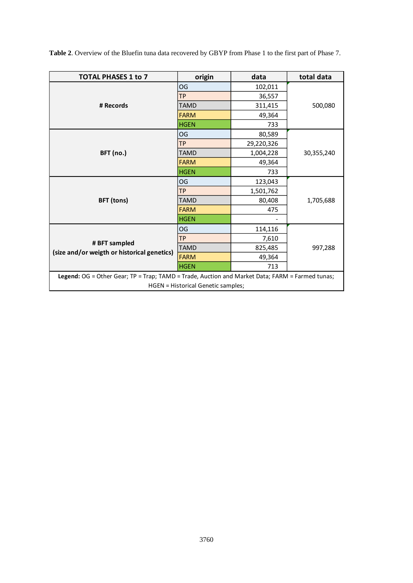| <b>TOTAL PHASES 1 to 7</b>                                                                      | origin      | data       | total data |  |  |  |  |
|-------------------------------------------------------------------------------------------------|-------------|------------|------------|--|--|--|--|
|                                                                                                 | OG          | 102,011    | 500,080    |  |  |  |  |
|                                                                                                 | <b>TP</b>   | 36,557     |            |  |  |  |  |
| # Records                                                                                       | <b>TAMD</b> | 311,415    |            |  |  |  |  |
|                                                                                                 | <b>FARM</b> | 49,364     |            |  |  |  |  |
|                                                                                                 | <b>HGEN</b> | 733        |            |  |  |  |  |
|                                                                                                 | OG          | 80,589     |            |  |  |  |  |
|                                                                                                 | <b>TP</b>   | 29,220,326 |            |  |  |  |  |
| <b>BFT</b> (no.)                                                                                | <b>TAMD</b> | 1,004,228  | 30,355,240 |  |  |  |  |
|                                                                                                 | <b>FARM</b> | 49,364     |            |  |  |  |  |
|                                                                                                 | <b>HGEN</b> | 733        |            |  |  |  |  |
|                                                                                                 | OG          | 123,043    | 1,705,688  |  |  |  |  |
|                                                                                                 | <b>TP</b>   | 1,501,762  |            |  |  |  |  |
| <b>BFT</b> (tons)                                                                               | <b>TAMD</b> | 80,408     |            |  |  |  |  |
|                                                                                                 | <b>FARM</b> | 475        |            |  |  |  |  |
|                                                                                                 | <b>HGEN</b> |            |            |  |  |  |  |
|                                                                                                 | OG          | 114,116    | 997,288    |  |  |  |  |
|                                                                                                 | <b>TP</b>   | 7,610      |            |  |  |  |  |
| # BFT sampled                                                                                   | <b>TAMD</b> | 825,485    |            |  |  |  |  |
| (size and/or weigth or historical genetics)                                                     | <b>FARM</b> | 49,364     |            |  |  |  |  |
|                                                                                                 | <b>HGEN</b> | 713        |            |  |  |  |  |
| Legend: OG = Other Gear; TP = Trap; TAMD = Trade, Auction and Market Data; FARM = Farmed tunas; |             |            |            |  |  |  |  |
| HGEN = Historical Genetic samples;                                                              |             |            |            |  |  |  |  |

**Table 2**. Overview of the Bluefin tuna data recovered by GBYP from Phase 1 to the first part of Phase 7.